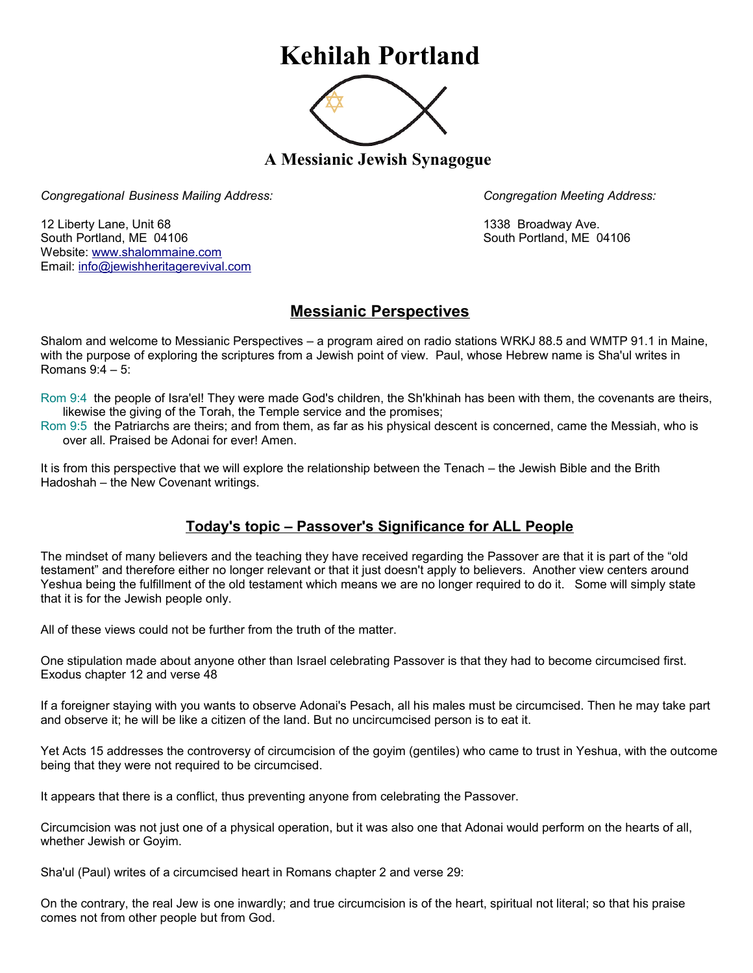## **Kehilah Portland**



**A Messianic Jewish Synagogue** 

*Congregational Business Mailing Address: Congregation Meeting Address:*

12 Liberty Lane, Unit 68 1338 Broadway Ave. South Portland, ME 04106 South Portland, ME 04106 Website: [www.shalommaine.com](http://www.shalommaine.com/) Email: [info@jewishheritagerevival.com](mailto:info@jewishheritagerevival.com) 

## **Messianic Perspectives**

Shalom and welcome to Messianic Perspectives – a program aired on radio stations WRKJ 88.5 and WMTP 91.1 in Maine, with the purpose of exploring the scriptures from a Jewish point of view. Paul, whose Hebrew name is Sha'ul writes in Romans 9:4 – 5:

Rom 9:4 the people of Isra'el! They were made God's children, the Sh'khinah has been with them, the covenants are theirs, likewise the giving of the Torah, the Temple service and the promises;

Rom 9:5 the Patriarchs are theirs; and from them, as far as his physical descent is concerned, came the Messiah, who is over all. Praised be Adonai for ever! Amen.

It is from this perspective that we will explore the relationship between the Tenach – the Jewish Bible and the Brith Hadoshah – the New Covenant writings.

## **Today's topic – Passover's Significance for ALL People**

The mindset of many believers and the teaching they have received regarding the Passover are that it is part of the "old testament" and therefore either no longer relevant or that it just doesn't apply to believers. Another view centers around Yeshua being the fulfillment of the old testament which means we are no longer required to do it. Some will simply state that it is for the Jewish people only.

All of these views could not be further from the truth of the matter.

One stipulation made about anyone other than Israel celebrating Passover is that they had to become circumcised first. Exodus chapter 12 and verse 48

If a foreigner staying with you wants to observe Adonai's Pesach, all his males must be circumcised. Then he may take part and observe it; he will be like a citizen of the land. But no uncircumcised person is to eat it.

Yet Acts 15 addresses the controversy of circumcision of the goyim (gentiles) who came to trust in Yeshua, with the outcome being that they were not required to be circumcised.

It appears that there is a conflict, thus preventing anyone from celebrating the Passover.

Circumcision was not just one of a physical operation, but it was also one that Adonai would perform on the hearts of all, whether Jewish or Goyim.

Sha'ul (Paul) writes of a circumcised heart in Romans chapter 2 and verse 29:

On the contrary, the real Jew is one inwardly; and true circumcision is of the heart, spiritual not literal; so that his praise comes not from other people but from God.